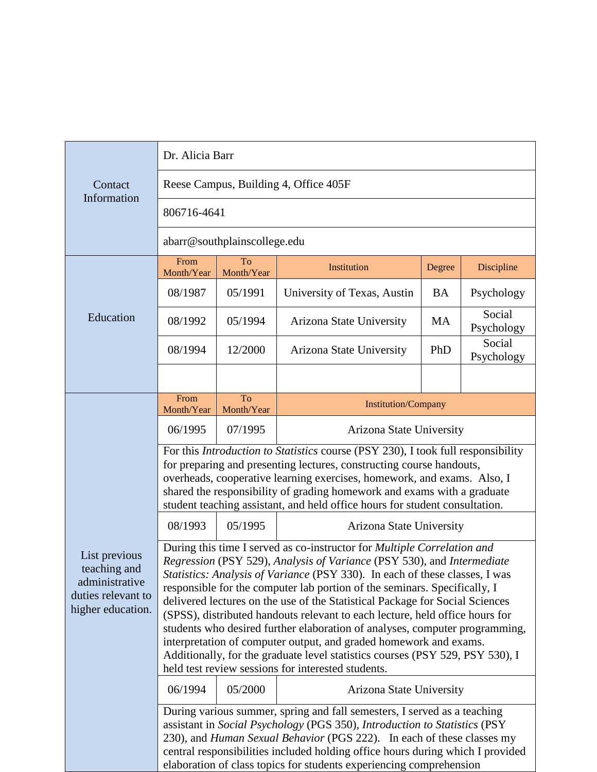| Contact<br>Information                                                                     | Dr. Alicia Barr                                                                                                                                                                                                                                                                                                                                                                                                                                                                                                                                                                                                                                                                                                                                                          |                  |                             |           |                      |  |
|--------------------------------------------------------------------------------------------|--------------------------------------------------------------------------------------------------------------------------------------------------------------------------------------------------------------------------------------------------------------------------------------------------------------------------------------------------------------------------------------------------------------------------------------------------------------------------------------------------------------------------------------------------------------------------------------------------------------------------------------------------------------------------------------------------------------------------------------------------------------------------|------------------|-----------------------------|-----------|----------------------|--|
|                                                                                            | Reese Campus, Building 4, Office 405F                                                                                                                                                                                                                                                                                                                                                                                                                                                                                                                                                                                                                                                                                                                                    |                  |                             |           |                      |  |
|                                                                                            | 806716-4641                                                                                                                                                                                                                                                                                                                                                                                                                                                                                                                                                                                                                                                                                                                                                              |                  |                             |           |                      |  |
|                                                                                            | abarr@southplainscollege.edu                                                                                                                                                                                                                                                                                                                                                                                                                                                                                                                                                                                                                                                                                                                                             |                  |                             |           |                      |  |
| Education                                                                                  | From<br>Month/Year                                                                                                                                                                                                                                                                                                                                                                                                                                                                                                                                                                                                                                                                                                                                                       | To<br>Month/Year | Institution                 | Degree    | Discipline           |  |
|                                                                                            | 08/1987                                                                                                                                                                                                                                                                                                                                                                                                                                                                                                                                                                                                                                                                                                                                                                  | 05/1991          | University of Texas, Austin | <b>BA</b> | Psychology           |  |
|                                                                                            | 08/1992                                                                                                                                                                                                                                                                                                                                                                                                                                                                                                                                                                                                                                                                                                                                                                  | 05/1994          | Arizona State University    | <b>MA</b> | Social<br>Psychology |  |
|                                                                                            | 08/1994                                                                                                                                                                                                                                                                                                                                                                                                                                                                                                                                                                                                                                                                                                                                                                  | 12/2000          | Arizona State University    | PhD       | Social<br>Psychology |  |
|                                                                                            |                                                                                                                                                                                                                                                                                                                                                                                                                                                                                                                                                                                                                                                                                                                                                                          |                  |                             |           |                      |  |
| List previous<br>teaching and<br>administrative<br>duties relevant to<br>higher education. | From<br>Month/Year                                                                                                                                                                                                                                                                                                                                                                                                                                                                                                                                                                                                                                                                                                                                                       | To<br>Month/Year | <b>Institution/Company</b>  |           |                      |  |
|                                                                                            | 06/1995                                                                                                                                                                                                                                                                                                                                                                                                                                                                                                                                                                                                                                                                                                                                                                  | 07/1995          | Arizona State University    |           |                      |  |
|                                                                                            | For this Introduction to Statistics course (PSY 230), I took full responsibility<br>for preparing and presenting lectures, constructing course handouts,<br>overheads, cooperative learning exercises, homework, and exams. Also, I<br>shared the responsibility of grading homework and exams with a graduate<br>student teaching assistant, and held office hours for student consultation.                                                                                                                                                                                                                                                                                                                                                                            |                  |                             |           |                      |  |
|                                                                                            | 08/1993                                                                                                                                                                                                                                                                                                                                                                                                                                                                                                                                                                                                                                                                                                                                                                  | 05/1995          | Arizona State University    |           |                      |  |
|                                                                                            | During this time I served as co-instructor for Multiple Correlation and<br>Regression (PSY 529), Analysis of Variance (PSY 530), and Intermediate<br>Statistics: Analysis of Variance (PSY 330). In each of these classes, I was<br>responsible for the computer lab portion of the seminars. Specifically, I<br>delivered lectures on the use of the Statistical Package for Social Sciences<br>(SPSS), distributed handouts relevant to each lecture, held office hours for<br>students who desired further elaboration of analyses, computer programming,<br>interpretation of computer output, and graded homework and exams.<br>Additionally, for the graduate level statistics courses (PSY 529, PSY 530), I<br>held test review sessions for interested students. |                  |                             |           |                      |  |
|                                                                                            | 06/1994                                                                                                                                                                                                                                                                                                                                                                                                                                                                                                                                                                                                                                                                                                                                                                  | 05/2000          | Arizona State University    |           |                      |  |
|                                                                                            | During various summer, spring and fall semesters, I served as a teaching<br>assistant in Social Psychology (PGS 350), Introduction to Statistics (PSY<br>230), and Human Sexual Behavior (PGS 222). In each of these classes my<br>central responsibilities included holding office hours during which I provided<br>elaboration of class topics for students experiencing comprehension                                                                                                                                                                                                                                                                                                                                                                                 |                  |                             |           |                      |  |